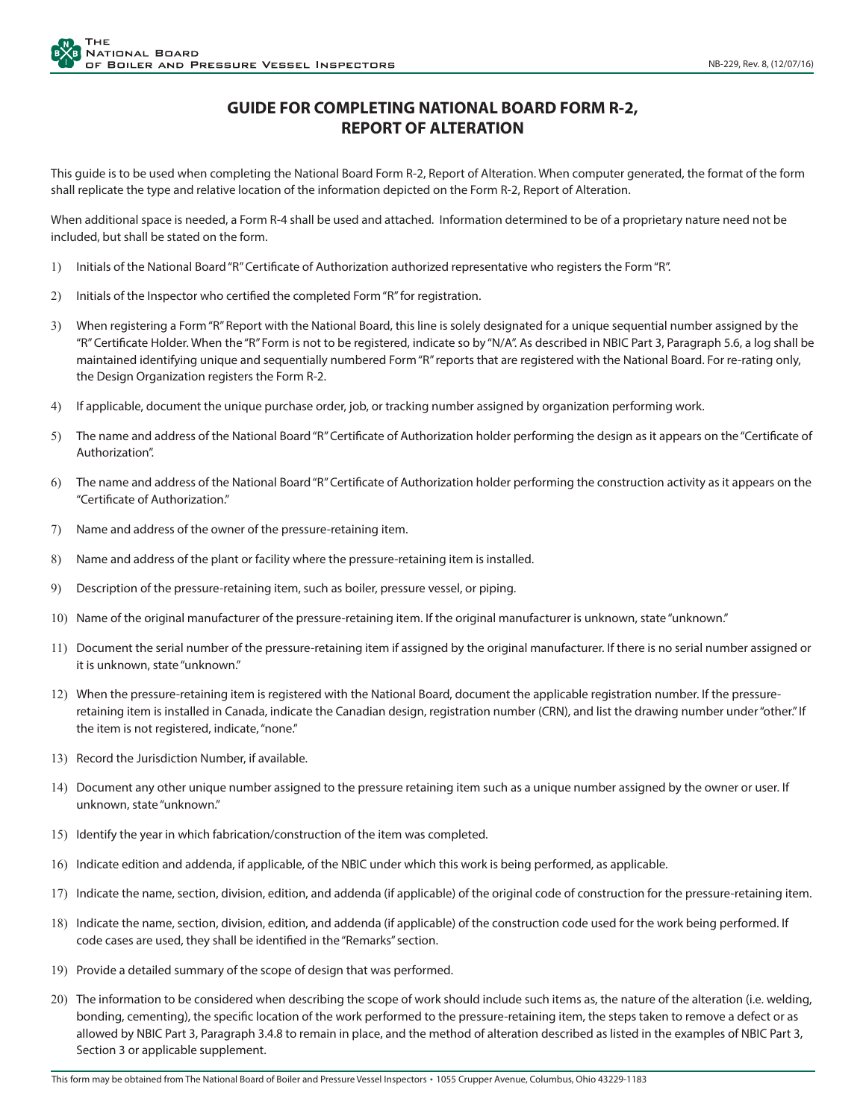## **GUIDE FOR COMPLETING NATIONAL BOARD FORM R-2, REPORT OF ALTERATION**

This guide is to be used when completing the National Board Form R-2, Report of Alteration. When computer generated, the format of the form shall replicate the type and relative location of the information depicted on the Form R-2, Report of Alteration.

When additional space is needed, a Form R-4 shall be used and attached. Information determined to be of a proprietary nature need not be included, but shall be stated on the form.

- 1) Initials of the National Board "R" Certificate of Authorization authorized representative who registers the Form "R".
- 2) Initials of the Inspector who certified the completed Form "R" for registration.
- 3) When registering a Form "R" Report with the National Board, this line is solely designated for a unique sequential number assigned by the "R" Certificate Holder. When the "R" Form is not to be registered, indicate so by "N/A". As described in NBIC Part 3, Paragraph 5.6, a log shall be maintained identifying unique and sequentially numbered Form "R" reports that are registered with the National Board. For re-rating only, the Design Organization registers the Form R-2.
- 4) If applicable, document the unique purchase order, job, or tracking number assigned by organization performing work.
- 5) The name and address of the National Board "R" Certificate of Authorization holder performing the design as it appears on the "Certificate of Authorization".
- 6) The name and address of the National Board "R" Certificate of Authorization holder performing the construction activity as it appears on the "Certificate of Authorization."
- 7) Name and address of the owner of the pressure-retaining item.
- 8) Name and address of the plant or facility where the pressure-retaining item is installed.
- 9) Description of the pressure-retaining item, such as boiler, pressure vessel, or piping.
- 10) Name of the original manufacturer of the pressure-retaining item. If the original manufacturer is unknown, state "unknown."
- 11) Document the serial number of the pressure-retaining item if assigned by the original manufacturer. If there is no serial number assigned or it is unknown, state "unknown."
- 12) When the pressure-retaining item is registered with the National Board, document the applicable registration number. If the pressureretaining item is installed in Canada, indicate the Canadian design, registration number (CRN), and list the drawing number under "other." If the item is not registered, indicate, "none."
- 13) Record the Jurisdiction Number, if available.
- 14) Document any other unique number assigned to the pressure retaining item such as a unique number assigned by the owner or user. If unknown, state "unknown."
- 15) Identify the year in which fabrication/construction of the item was completed.
- 16) Indicate edition and addenda, if applicable, of the NBIC under which this work is being performed, as applicable.
- 17) Indicate the name, section, division, edition, and addenda (if applicable) of the original code of construction for the pressure-retaining item.
- 18) Indicate the name, section, division, edition, and addenda (if applicable) of the construction code used for the work being performed. If code cases are used, they shall be identified in the "Remarks" section.
- 19) Provide a detailed summary of the scope of design that was performed.
- 20) The information to be considered when describing the scope of work should include such items as, the nature of the alteration (i.e. welding, bonding, cementing), the specific location of the work performed to the pressure-retaining item, the steps taken to remove a defect or as allowed by NBIC Part 3, Paragraph 3.4.8 to remain in place, and the method of alteration described as listed in the examples of NBIC Part 3, Section 3 or applicable supplement.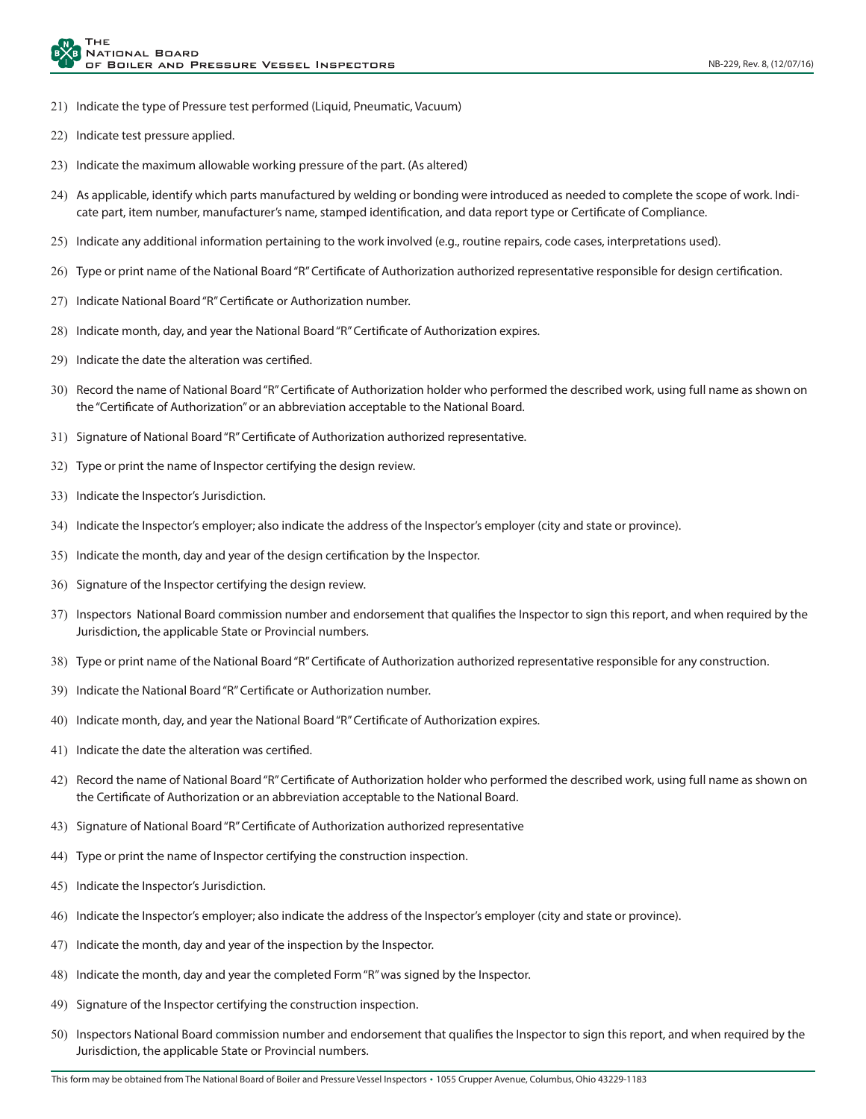- 21) Indicate the type of Pressure test performed (Liquid, Pneumatic, Vacuum)
- 22) Indicate test pressure applied.
- 23) Indicate the maximum allowable working pressure of the part. (As altered)
- 24) As applicable, identify which parts manufactured by welding or bonding were introduced as needed to complete the scope of work. Indicate part, item number, manufacturer's name, stamped identification, and data report type or Certificate of Compliance.
- 25) Indicate any additional information pertaining to the work involved (e.g., routine repairs, code cases, interpretations used).
- 26) Type or print name of the National Board "R" Certificate of Authorization authorized representative responsible for design certification.
- 27) Indicate National Board "R" Certificate or Authorization number.
- 28) Indicate month, day, and year the National Board "R" Certificate of Authorization expires.
- 29) Indicate the date the alteration was certified.
- 30) Record the name of National Board "R" Certificate of Authorization holder who performed the described work, using full name as shown on the "Certificate of Authorization" or an abbreviation acceptable to the National Board.
- 31) Signature of National Board "R" Certificate of Authorization authorized representative.
- 32) Type or print the name of Inspector certifying the design review.
- 33) Indicate the Inspector's Jurisdiction.
- 34) Indicate the Inspector's employer; also indicate the address of the Inspector's employer (city and state or province).
- 35) Indicate the month, day and year of the design certification by the Inspector.
- 36) Signature of the Inspector certifying the design review.
- 37) Inspectors National Board commission number and endorsement that qualifies the Inspector to sign this report, and when required by the Jurisdiction, the applicable State or Provincial numbers.
- 38) Type or print name of the National Board "R" Certificate of Authorization authorized representative responsible for any construction.
- 39) Indicate the National Board "R" Certificate or Authorization number.
- 40) Indicate month, day, and year the National Board "R" Certificate of Authorization expires.
- 41) Indicate the date the alteration was certified.
- 42) Record the name of National Board "R" Certificate of Authorization holder who performed the described work, using full name as shown on the Certificate of Authorization or an abbreviation acceptable to the National Board.
- 43) Signature of National Board "R" Certificate of Authorization authorized representative
- 44) Type or print the name of Inspector certifying the construction inspection.
- 45) Indicate the Inspector's Jurisdiction.
- 46) Indicate the Inspector's employer; also indicate the address of the Inspector's employer (city and state or province).
- 47) Indicate the month, day and year of the inspection by the Inspector.
- 48) Indicate the month, day and year the completed Form "R" was signed by the Inspector.
- 49) Signature of the Inspector certifying the construction inspection.
- 50) Inspectors National Board commission number and endorsement that qualifies the Inspector to sign this report, and when required by the Jurisdiction, the applicable State or Provincial numbers.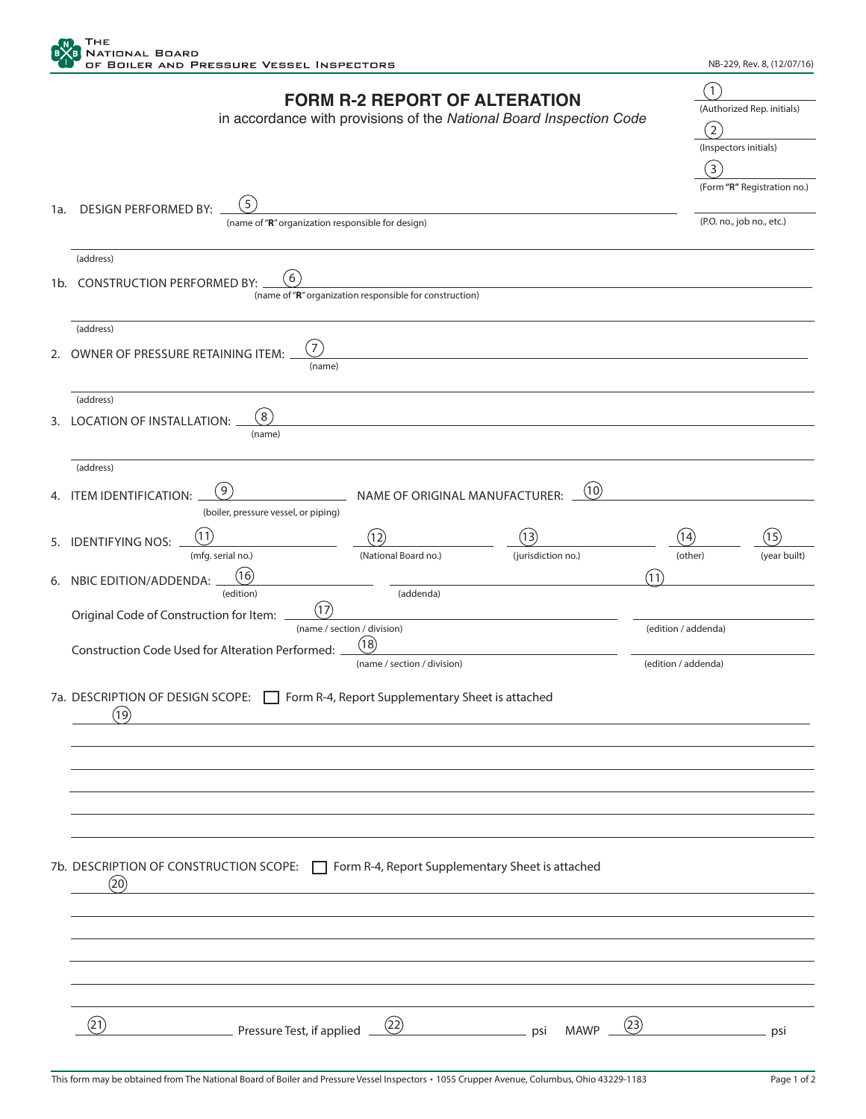

|     |                                                                                                      |                                                                                                             |                    |                     | (1)                          |              |  |  |  |
|-----|------------------------------------------------------------------------------------------------------|-------------------------------------------------------------------------------------------------------------|--------------------|---------------------|------------------------------|--------------|--|--|--|
|     |                                                                                                      | <b>FORM R-2 REPORT OF ALTERATION</b><br>in accordance with provisions of the National Board Inspection Code |                    |                     |                              |              |  |  |  |
|     |                                                                                                      |                                                                                                             |                    |                     |                              |              |  |  |  |
|     |                                                                                                      |                                                                                                             |                    |                     | (2)<br>(Inspectors initials) |              |  |  |  |
|     |                                                                                                      |                                                                                                             |                    |                     | (3)                          |              |  |  |  |
|     |                                                                                                      |                                                                                                             |                    |                     | (Form "R" Registration no.)  |              |  |  |  |
|     | $5^{\circ}$                                                                                          |                                                                                                             |                    |                     |                              |              |  |  |  |
| 1a. | <b>DESIGN PERFORMED BY:</b><br>(name of "R" organization responsible for design)                     |                                                                                                             |                    |                     | (P.O. no., job no., etc.)    |              |  |  |  |
|     |                                                                                                      |                                                                                                             |                    |                     |                              |              |  |  |  |
|     | (address)                                                                                            |                                                                                                             |                    |                     |                              |              |  |  |  |
|     | 6                                                                                                    |                                                                                                             |                    |                     |                              |              |  |  |  |
| 1b. | <b>CONSTRUCTION PERFORMED BY:</b>                                                                    | (name of "R" organization responsible for construction)                                                     |                    |                     |                              |              |  |  |  |
|     |                                                                                                      |                                                                                                             |                    |                     |                              |              |  |  |  |
|     | (address)                                                                                            |                                                                                                             |                    |                     |                              |              |  |  |  |
| 2.  | $\mathbf{a}^{\prime}$<br>OWNER OF PRESSURE RETAINING ITEM:                                           |                                                                                                             |                    |                     |                              |              |  |  |  |
|     | (name)                                                                                               |                                                                                                             |                    |                     |                              |              |  |  |  |
|     |                                                                                                      |                                                                                                             |                    |                     |                              |              |  |  |  |
|     | (address)                                                                                            |                                                                                                             |                    |                     |                              |              |  |  |  |
| 3.  | $\left(8\right)$<br><b>LOCATION OF INSTALLATION:</b>                                                 |                                                                                                             |                    |                     |                              |              |  |  |  |
|     | (name)                                                                                               |                                                                                                             |                    |                     |                              |              |  |  |  |
|     | (address)                                                                                            |                                                                                                             |                    |                     |                              |              |  |  |  |
|     | (9)                                                                                                  |                                                                                                             | (10)               |                     |                              |              |  |  |  |
|     | 4. ITEM IDENTIFICATION:                                                                              | NAME OF ORIGINAL MANUFACTURER:                                                                              |                    |                     |                              |              |  |  |  |
|     | (boiler, pressure vessel, or piping)                                                                 |                                                                                                             |                    |                     |                              |              |  |  |  |
| 5.  | <b>IDENTIFYING NOS:</b>                                                                              | (12)                                                                                                        | (13)               | (14)                |                              | (15)         |  |  |  |
|     | (mfg. serial no.)                                                                                    | (National Board no.)                                                                                        | (jurisdiction no.) |                     | (other)                      | (year built) |  |  |  |
| 6.  | 16<br>NBIC EDITION/ADDENDA:                                                                          |                                                                                                             |                    | (11)                |                              |              |  |  |  |
|     | (edition)                                                                                            | (addenda)                                                                                                   |                    |                     |                              |              |  |  |  |
|     | (17)<br>Original Code of Construction for Item:                                                      |                                                                                                             |                    |                     |                              |              |  |  |  |
|     |                                                                                                      | (name / section / division)                                                                                 |                    |                     | (edition / addenda)          |              |  |  |  |
|     | Construction Code Used for Alteration Performed:                                                     | (18)                                                                                                        |                    |                     |                              |              |  |  |  |
|     |                                                                                                      | (name / section / division)                                                                                 |                    | (edition / addenda) |                              |              |  |  |  |
|     | 7a. DESCRIPTION OF DESIGN SCOPE:                                                                     | Form R-4, Report Supplementary Sheet is attached                                                            |                    |                     |                              |              |  |  |  |
|     | (19)                                                                                                 |                                                                                                             |                    |                     |                              |              |  |  |  |
|     |                                                                                                      |                                                                                                             |                    |                     |                              |              |  |  |  |
|     |                                                                                                      |                                                                                                             |                    |                     |                              |              |  |  |  |
|     |                                                                                                      |                                                                                                             |                    |                     |                              |              |  |  |  |
|     |                                                                                                      |                                                                                                             |                    |                     |                              |              |  |  |  |
|     |                                                                                                      |                                                                                                             |                    |                     |                              |              |  |  |  |
|     |                                                                                                      |                                                                                                             |                    |                     |                              |              |  |  |  |
|     |                                                                                                      |                                                                                                             |                    |                     |                              |              |  |  |  |
|     | 7b. DESCRIPTION OF CONSTRUCTION SCOPE: <a>[&gt; Torm R-4, Report Supplementary Sheet is attached</a> |                                                                                                             |                    |                     |                              |              |  |  |  |
|     | (20)                                                                                                 |                                                                                                             |                    |                     |                              |              |  |  |  |
|     |                                                                                                      |                                                                                                             |                    |                     |                              |              |  |  |  |
|     |                                                                                                      |                                                                                                             |                    |                     |                              |              |  |  |  |
|     |                                                                                                      |                                                                                                             |                    |                     |                              |              |  |  |  |
|     |                                                                                                      |                                                                                                             |                    |                     |                              |              |  |  |  |
|     |                                                                                                      |                                                                                                             |                    |                     |                              |              |  |  |  |
|     |                                                                                                      |                                                                                                             |                    |                     |                              |              |  |  |  |
|     | (21)                                                                                                 | (22)                                                                                                        |                    | (23)                |                              |              |  |  |  |
|     | Pressure Test, if applied                                                                            |                                                                                                             | <b>MAWP</b><br>psi |                     |                              | psi          |  |  |  |
|     |                                                                                                      |                                                                                                             |                    |                     |                              |              |  |  |  |